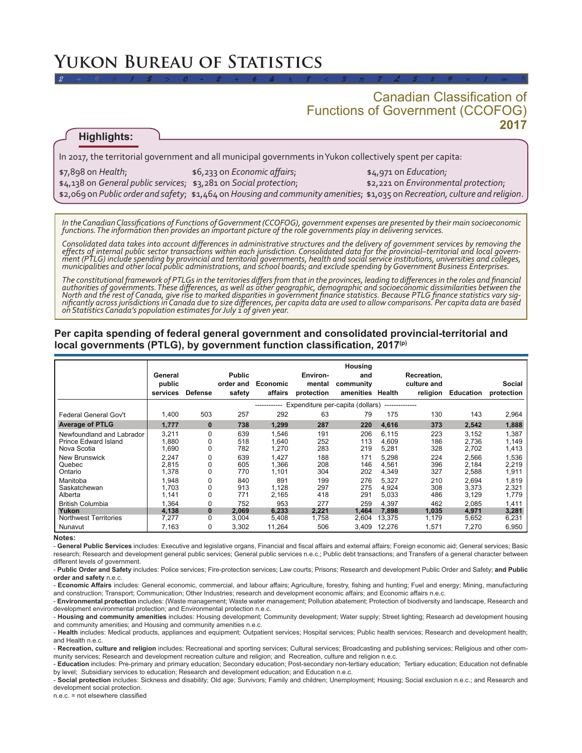# **Yukon Bureau of Statistics**

## **2017** Canadian Classification of Functions of Government (CCOFOG)

## **Highlights:**

In 2017, the territorial government and all municipal governments in Yukon collectively spent per capita:

| $$7,898$ on Health;                                                                        | \$6,233 on Economic affairs; | $$4.971$ on Education;               |
|--------------------------------------------------------------------------------------------|------------------------------|--------------------------------------|
| $\frac{1}{2}$ \$4,138 on General public services; $\frac{1}{2}$ ,281 on Social protection; |                              | \$2,221 on Environmental protection; |
|                                                                                            |                              |                                      |

*2 ÷ 9 # 1 \$ > 0 - 2 + 6 & ± 8 < 3 π 7 £ 5 ‡ 9 ≈ 1 ∞ ^*

*In the Canadian Classifications of Functions of Government (CCOFOG), government expenses are presented by their main socioeconomic functions. The information then provides an important picture of the role governments play in delivering services.* 

*Consolidated data takes into account differences in administrative structures and the delivery of government services by removing the*  effects of internal public sector transactions within each jurisdiction. Consolidated data for the provincial–territorial and local govern-<br>ment (PTLG) include spending by provincial and territorial governments, health and *municipalities and other local public administrations, and school boards; and exclude spending by Government Business Enterprises.* 

*The constitutional framework of PTLGs in the territories differs from that in the provinces, leading to differences in the roles and financial authorities of governments. These differences, as well as other geographic, demographic and socioeconomic dissimilarities between the*  North and the rest of Canada, give rise to marked disparities in government finance statistics. Because PTLG finance statistics vary sig-<br>nificantly across jurisdictions in Canada due to size differences, per capita data a nificantly across jurísdictions in Canada due to size differences, per capita data are used to allow comparisons. Per capita data are based<br>on Statistics Canada's population estimates for July 1 of given year.

### **Per capita spending of federal general government and consolidated provincial-territorial and local governments (PTLG), by government function classification, 2017(p)**

|                                                                                                                                                      | General<br>public<br>services                                                 | <b>Defense</b>                            | <b>Public</b><br>order and<br>safety                        | Economic<br>affairs                                                         | Environ-<br>mental<br>protection                            | Housing<br>and<br>community<br>amenities                    | Health                                                                        | Recreation,<br>culture and<br>religion                      | <b>Education</b>                                                              | Social<br>protection                                                          |  |
|------------------------------------------------------------------------------------------------------------------------------------------------------|-------------------------------------------------------------------------------|-------------------------------------------|-------------------------------------------------------------|-----------------------------------------------------------------------------|-------------------------------------------------------------|-------------------------------------------------------------|-------------------------------------------------------------------------------|-------------------------------------------------------------|-------------------------------------------------------------------------------|-------------------------------------------------------------------------------|--|
|                                                                                                                                                      | Expenditure per-capita (dollars)<br>--------------                            |                                           |                                                             |                                                                             |                                                             |                                                             |                                                                               |                                                             |                                                                               |                                                                               |  |
| Federal General Gov't                                                                                                                                | 1,400                                                                         | 503                                       | 257                                                         | 292                                                                         | 63                                                          | 79                                                          | 175                                                                           | 130                                                         | 143                                                                           | 2,964                                                                         |  |
| <b>Average of PTLG</b>                                                                                                                               | 1,777                                                                         | $\bf{0}$                                  | 738                                                         | 1,299                                                                       | 287                                                         | 220                                                         | 4,616                                                                         | 373                                                         | 2,542                                                                         | 1,888                                                                         |  |
| Newfoundland and Labrador<br>Prince Edward Island<br>Nova Scotia<br><b>New Brunswick</b><br>Quebec<br>Ontario<br>Manitoba<br>Saskatchewan<br>Alberta | 3,211<br>1.880<br>1,690<br>2,247<br>2.815<br>1,378<br>1,948<br>1.703<br>1,141 | 0<br>0<br>0<br>0<br>0<br>0<br>0<br>0<br>0 | 639<br>518<br>782<br>639<br>605<br>770<br>840<br>913<br>771 | 1.546<br>1.640<br>1,270<br>1,427<br>1.366<br>1.101<br>891<br>1,128<br>2,165 | 191<br>252<br>283<br>188<br>208<br>304<br>199<br>297<br>418 | 206<br>113<br>219<br>171<br>146<br>202<br>276<br>275<br>291 | 6,115<br>4.609<br>5,281<br>5,298<br>4,561<br>4,349<br>5,327<br>4.924<br>5,033 | 223<br>186<br>328<br>224<br>396<br>327<br>210<br>308<br>486 | 3,152<br>2.736<br>2,702<br>2,566<br>2,184<br>2,588<br>2,694<br>3.373<br>3,129 | 1,387<br>1.149<br>1,413<br>1,536<br>2,219<br>1,911<br>1,819<br>2,321<br>1,779 |  |
| <b>British Columbia</b><br>Yukon<br><b>Northwest Territories</b><br>Nunavut                                                                          | 1.364<br>4,138<br>7.277<br>7,163                                              | 0<br>0<br>0<br>0                          | 752<br>2,069<br>3.004<br>3,302                              | 953<br>6,233<br>5,408<br>11,264                                             | 277<br>2,221<br>1.758<br>506                                | 259<br>1.464<br>2.604<br>3.409                              | 4.397<br>7.898<br>13.375<br>12.276                                            | 462<br>1,035<br>1.179<br>1,571                              | 2.085<br>4,971<br>5.652<br>7,270                                              | 1,411<br>3,281<br>6,231<br>6,950                                              |  |

#### **Notes:**

- **General Public Services** includes: Executive and legislative organs, Financial and fiscal affairs and external affairs; Foreign economic aid; General services; Basic research; Research and development general public services; General public services n.e.c.; Public debt transactions; and Transfers of a general character between different levels of government.

- **Public Order and Safety** includes: Police services; Fire-protection services; Law courts; Prisons; Research and development Public Order and Safety; **and Public order and safety** n.e.c.

- **Economic Affairs** includes: General economic, commercial, and labour affairs; Agriculture, forestry, fishing and hunting; Fuel and energy; Mining, manufacturing and construction; Transport; Communication; Other Industries; research and development economic affairs; and Economic affairs n.e.c.

- **Environmental protection** includes: (Waste management; Waste water management; Pollution abatement; Protection of biodiversity and landscape, Research and development environmental protection; and Environmental protection n.e.c.

- **Housing and community amenities** includes: Housing development; Community development; Water supply; Street lighting; Research ad development housing and community amenities; and Housing and community amenities n.e.c.

- **Health** includes: Medical products, appliances and equipment; Outpatient services; Hospital services; Public health services; Research and development health; and Health n.e.c.

- **Recreation, culture and religion** includes: Recreational and sporting services; Cultural services; Broadcasting and publishing services; Religious and other community services; Research and development recreation culture and religion; and Recreation, culture and religion n.e.c.

- **Education** includes: Pre-primary and primary education; Secondary education; Post-secondary non-tertiary education; Tertiary education; Education not definable by level; Subsidiary services to education; Research and development education; and Education n.e.c.

- **Social protection** includes: Sickness and disability; Old age; Survivors; Family and children; Unemployment; Housing; Social exclusion n.e.c.; and Research and development social protection.

n.e.c. = not elsewhere classified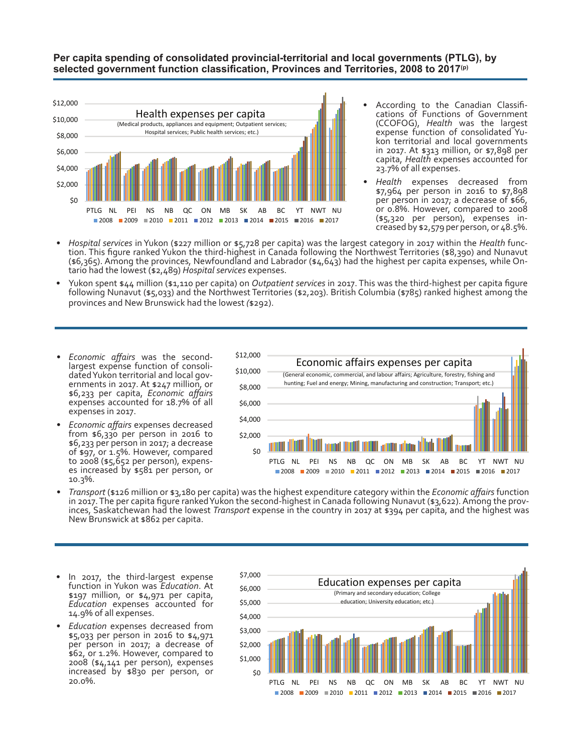## **Per capita spending of consolidated provincial-territorial and local governments (PTLG), by selected government function classification, Provinces and Territories, 2008 to 2017(p)**



- According to the Canadian Classifi- cations of Functions of Government (CCOFOG), *Health* was the largest expense function of consolidated Yu- kon territorial and local governments in 2017. At \$313 million, or \$7,898 per capita, *Health* expenses accounted for 23.7% of all expenses.
- *• Health* expenses decreased from \$7,964 per person in 2016 to \$7,898 per person in 2017; a decrease of \$66, or 0.8%. However, compared to 2008 (\$5,320 per person), expenses in- creased by \$2,579 per person, or 48.5%.
- Hospital services in Yukon (\$227 million or \$5,728 per capita) was the largest category in 2017 within the Health func-<br>tion. This figure ranked Yukon the third-highest in Canada following the Northwest Territories (\$8,3 (\$6,365). Among the provinces, Newfoundland and Labrador (\$4,643) had the highest per capita expenses, while On- tario had the lowest (\$2,489) *Hospital services* expenses.
- Yukon spent \$44 million (\$1,110 per capita) on *Outpatient services* in 2017. This was the third-highest per capita figure following Nunavut (\$5,033) and the Northwest Territories (\$2,203). British Columbia (\$785) ranked h provinces and New Brunswick had the lowest *(*\$292).
- *• Economic affairs* was the secondlargest expense function of consoli- dated Yukon territorial and local gov- ernments in 2017. At \$247 million, or \$6,233 per capita, *Economic affairs* expenses accounted for 18.7% of all expenses in 2017.
- *• Economic affairs* expenses decreased from \$6,330 per person in 2016 to \$6,233 per person in 2017; a decrease of \$97, or 1.5%. However, compared to 2008 (\$5,652 per person), expens- es increased by \$581 per person, or 10.3%.



- *• Transport* (\$126 million or \$3,180 per capita) was the highest expenditure category within the *Economic affairs* function in 2017. The per capita figure ranked Yukon the second-highest in Canada following Nunavut (\$3,622). Among the prov-<br>inces, Saskatchewan had the lowest *Transport* expense in the country in 2017 at \$394 per capita, and the
- In 2017, the third-largest expense function in Yukon was *Education*. At \$197 million, or \$4,971 per capita, *Education* expenses accounted for 14.9% of all expenses.
- *• Education* expenses decreased from \$5,033 per person in 2016 to \$4,971 per person in 2017; a decrease of \$62, or 1.2%. However, compared to 2008 (\$4,141 per person), expenses increased by \$830 per person, or 20.0%.

![](_page_1_Figure_12.jpeg)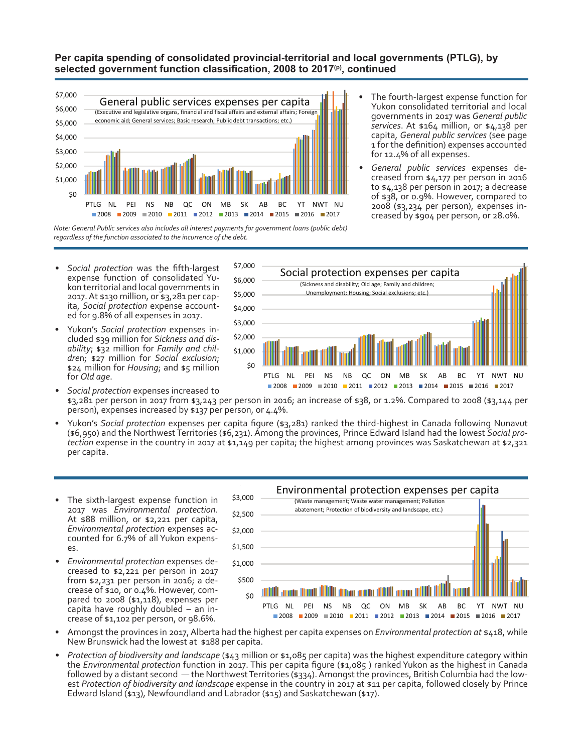## **Per capita spending of consolidated provincial-territorial and local governments (PTLG), by selected government function classification, 2008 to 2017(p), continued**

![](_page_2_Figure_1.jpeg)

- The fourth-largest expense function for Yukon consolidated territorial and local governments in 2017 was *General public services*. At \$164 million, or \$4,138 per capita, *General public services* (see page 1 for the definition) expenses accounted for 12.4% of all expenses.
- *• General public services* expenses de- creased from \$4,177 per person in 2016 to \$4,138 per person in 2017; a decrease of \$38, or 0.9%. However, compared to 2008 (\$3,234 per person), expenses in- creased by \$904 per person, or 28.0%.

*Note: General Public services also includes all interest payments for government loans (public debt) regardless of the function associated to the incurrence of the debt.*

\$8,000

*• Social protection* was the fifth-largest expense function of consolidated Yu- kon territorial and local governments in 2017. At \$130 million, or \$3,281 per cap- ita, *Social protection* expense account- ed for 9.8% of all expenses in 2017.

\$8,000

• Yukon's *Social protection* expenses included \$39 million for *Sickness and disability*; \$32 million for *Family and childre*n; \$27 million for *Social exclusion*; \$24 million for *Housing*; and \$5 million for *Old age*.

![](_page_2_Figure_7.jpeg)

- *• Social protection* expenses increased to \$3,281 per person in 2017 from \$3,243 per person in 2016; an increase of \$38, or 1.2%. Compared to 2008 (\$3,144 per person), expenses increased by \$137 per person, or 4.4%.
- Yukon's *Social protection* expenses per capita figure (\$3,281) ranked the third-highest in Canada following Nunavut (\$6,950) and the Northwest Territories (\$6,231). Among the provinces, Prince Edward Island had the lowest *Social protection* expense in the country in 2017 at \$1,149 per capita; the highest among provinces was Saskatchewan at \$2,321 per capita.
- The sixth-largest expense function in 2017 was *Environmental protection*. At \$88 million, or \$2,221 per capita, *Environmental protection* expenses ac- counted for 6.7% of all Yukon expens- es.
- *• Environmental protection* expenses decreased to \$2,221 per person in 2017 from \$2,231 per person in 2016; a decrease of \$10, or 0.4%. However, com- pared to 2008 (\$1,118), expenses per capita have roughly doubled – an in- crease of \$1,102 per person, or 98.6%.

![](_page_2_Figure_12.jpeg)

- Amongst the provinces in 2017, Alberta had the highest per capita expenses on *Environmental protection at* \$418, while New Brunswick had the lowest at \$188 per capita.
- *• Protection of biodiversity and landscape* (\$43 million or \$1,085 per capita) was the highest expenditure category within the *Environmental protection* function in 2017. This per capita figure (\$1,085 ) ranked Yukon as the highest in Canada followed by a distant second — the Northwest Territories (\$334). Amongst the provinces, British Columbia had the lowest *Protection of biodiversity and landscape* expense in the country in 2017 at \$11 per capita, followed closely by Prince Edward Island (\$13), Newfoundland and Labrador (\$15) and Saskatchewan (\$17).